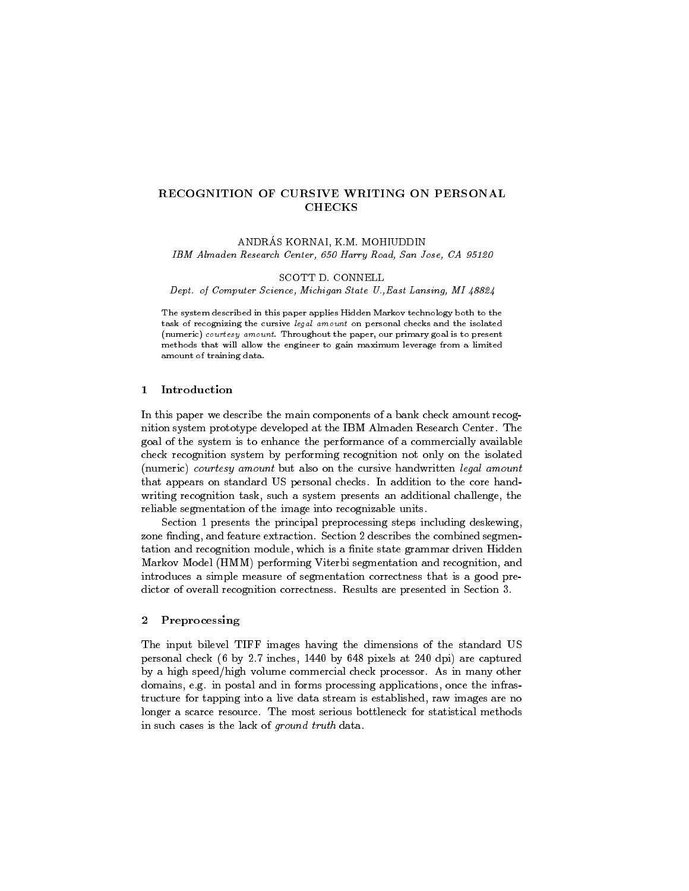# RECOGNITION OF CURSIVE WRITING ON PERSONAL **CHECKS**

ANDRÁS KORNAI, K.M. MOHIUDDIN IBM Almaden Research Center, 650 Harry Road, San Jose, CA 95120

SCOTT D. CONNELL

Dept. of Computer Science, Michigan State U.,East Lansing, MI 48824

The system described in this paper applies Hidden Markov technology both to thetask of recognizing the cursive legal amount on personal checks and the isolated (numeric) courtesy amount. Throughout the paper, our primary goal is to present methods that will allow the engineer to gain maximum leverage from a limitedamount of training data.

# 1 Introduction

In this paper we describe the main components of a bank check amount recognition system prototype developed at the IBM Almaden Research Center. The goal of the system is to enhance the performance of a commercially available check recognition system by performing recognition not only on the isolated (numeric) courtesy amount but also on the cursive handwritten legal amount that appears on standard US personal checks. In addition to the core handwriting recognition task, such a system presents an additional challenge, the reliable segmentation of the image into recognizable units.

Section 1 presents the principal preprocessing steps including deskewing, zone finding, and feature extraction. Section 2 describes the combined segmentation and recognition module, which is a finite state grammar driven Hidden Markov Model (HMM) performing Viterbi segmentation and recognition, and introduces a simple measure of segmentation correctness that is a good predictor of overall recognition correctness. Results are presented in Section 3.

### 2 Preprocessing

The input bilevel TIFF images having the dimensions of the standard US personal check (6 by 2.7 inches, 1440 by 648 pixels at 240 dpi) are captured by a high speed/high volume commercial check processor. As in many other domains, e.g. in postal and in forms processing applications, once the infrastructure for tapping into a live data stream is established, raw images are no longer a scarce resource. The most serious bottleneck for statistical methods in such cases is the lack of ground truth data.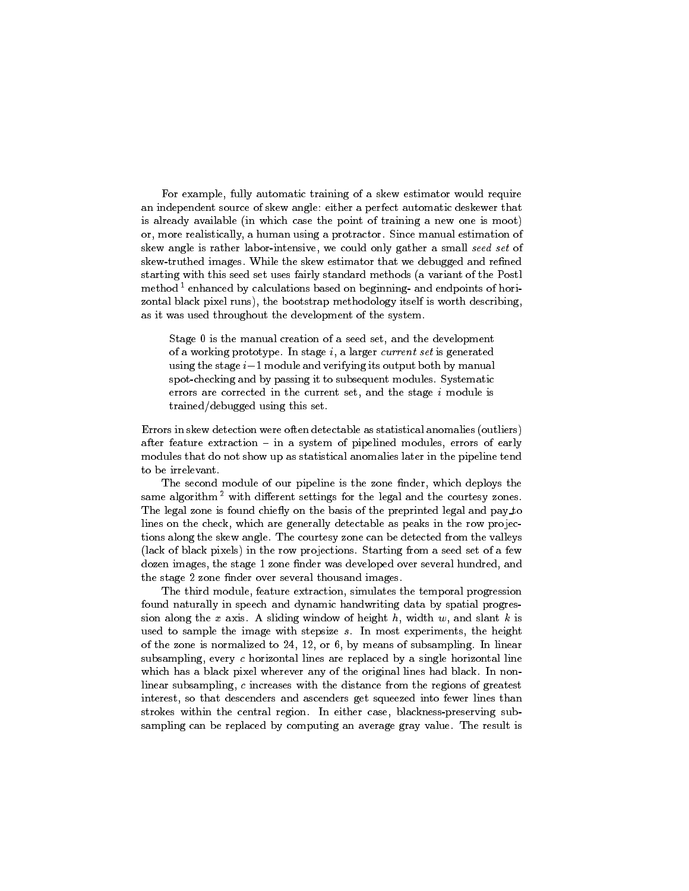For example, fully automatic training of a skew estimator would require an independent source of skew angle: either a perfect automatic deskewer that is already available (in which case the point of training a new one is moot) or, more realistically, a human using a protractor. Since manual estimation of skew angle is rather labor-intensive, we could only gather a small seed set of skew-truthed images. While the skew estimator that we debugged and refined starting with this seed set uses fairly standard methods (a variant of the Postl method<sup>1</sup> enhanced by calculations based on beginning- and endpoints of horizontal black pixel runs), the bootstrap methodology itself is worth describing, as it was used throughout the development of the system.

Stage 0 is the manual creation of a seed set, and the development of a working prototype. In stage  $i$ , a larger current set is generated using the stage  $i-1$  module and verifying its output both by manual spot-checking and by passing it to subsequent modules. Systematic errors are corrected in the current set, and the stage <sup>i</sup> module is trained/debugged using this set.

Errors in skew detection were often detectable as statistical anomalies (outliers) after feature extraction  $-$  in a system of pipelined modules, errors of early modules that do not show up as statistical anomalies later in the pipeline tend to be irrelevant.

The second module of our pipeline is the zone finder, which deploys the same algorithm<sup>2</sup> with different settings for the legal and the courtesy zones. The legal zone is found chiefly on the basis of the preprinted legal and pay\_to lines on the check, which are generally detectable as peaks in the row projections along the skew angle. The courtesy zone can be detected from the valleys (lack of black pixels) in the row projections. Starting from a seed set of a few dozen images, the stage 1 zone finder was developed over several hundred, and the stage 2 zone finder over several thousand images.

The third module, feature extraction, simulates the temporal progression found naturally in speech and dynamic handwriting data by spatial progression along the  $x$  axis. A sliding window of height  $h$ , width  $w$ , and slant  $k$  is used to sample the image with stepsize  $s$ . In most experiments, the height of the zone is normalized to 24, 12, or 6, by means of subsampling. In linear subsampling, every <sup>c</sup> horizontal lines are replaced by a single horizontal line which has a black pixel wherever any of the original lines had black. In nonlinear subsampling, <sup>c</sup> increases with the distance from the regions of greatest interest, so that descenders and ascenders get squeezed into fewer lines than strokes within the central region. In either case, blackness-preserving subsampling can be replaced by computing an average gray value. The result is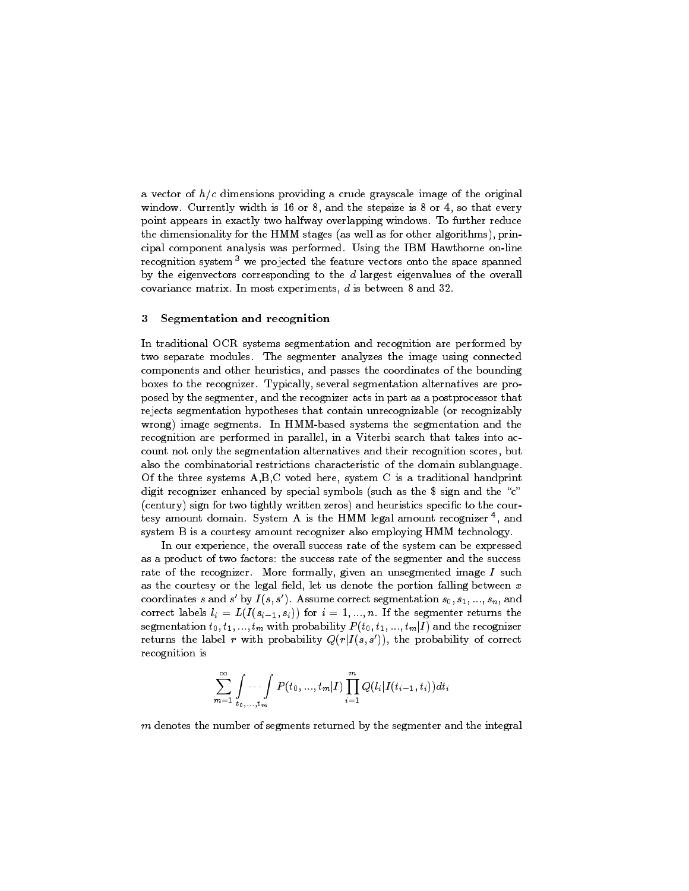a vector of  $h/c$  dimensions providing a crude grayscale image of the original window. Currently width is 16 or 8, and the stepsize is 8 or 4, so that every point appears in exactly two halfway overlapping windows. To further reduce the dimensionality for the HMM stages (as well as for other algorithms), principal component analysis was performed. Using the IBM Hawthorne on-line recognition system<sup>3</sup> we projected the feature vectors onto the space spanned by the eigenvectors corresponding to the  $d$  largest eigenvalues of the overall covariance matrix. In most experiments, <sup>d</sup> is between 8 and 32.

#### 3 3 Segmentation and recognition

In traditional OCR systems segmentation and recognition are performed by two separate modules. The segmenter analyzes the image using connected components and other heuristics, and passes the coordinates of the bounding boxes to the recognizer. Typically, several segmentation alternatives are proposed by the segmenter, and the recognizer acts in part as a postprocessor that rejects segmentation hypotheses that contain unrecognizable (or recognizably wrong) image segments. In HMM-based systems the segmentation and the recognition are performed in parallel, in a Viterbi search that takes into account not only the segmentation alternatives and their recognition scores, but also the combinatorial restrictions characteristic of the domain sublanguage. Of the three systems A,B,C voted here, system C is a traditional handprint digit recognizer enhanced by special symbols (such as the \$ sign and the "c" (century) sign for two tightly written zeros) and heuristics specific to the cour $t$ esy amount domain. System A is the HMM legal amount recognizer  $\tau$  and system B is a courtesy amount recognizer also employing HMM technology.

In our experience, the overall success rate of the system can be expressed as a product of two factors: the success rate of the segmenter and the success rate of the recognizer. More formally, given an unsegmented image  $I$  such as the courtesy or the legal field, let us denote the portion falling between  $x$ coordinates s and s  $\left\| \textbf{by 1}(s, s) \right\|$ . Assume correct segmentation  $s_0, s_1, ..., s_n$  , and correct labels  $l_i = L(I(s_{i-1}, s_i))$  for  $i = 1, ..., n$ . If the segmenter returns the segmentation  $t_0, t_1, ..., t_m$  with probability  $P(t_0, t_1, ..., t_m|I)$  and the recognizer returns the label r with probability  $Q(r|I(s, s'))$ , the probability of correct recognition is

$$
\sum_{m=1}^\infty\int\limits_{t_0,\ldots,t_m}\hspace{-3mm}\cdots \int\limits_{t_m} P(t_0,\ldots,t_m|I) \prod_{i=1}^m Q(l_i|I(t_{i-1},t_i)) dt_i
$$

 $m$  denotes the number of segments returned by the segmenter and the integral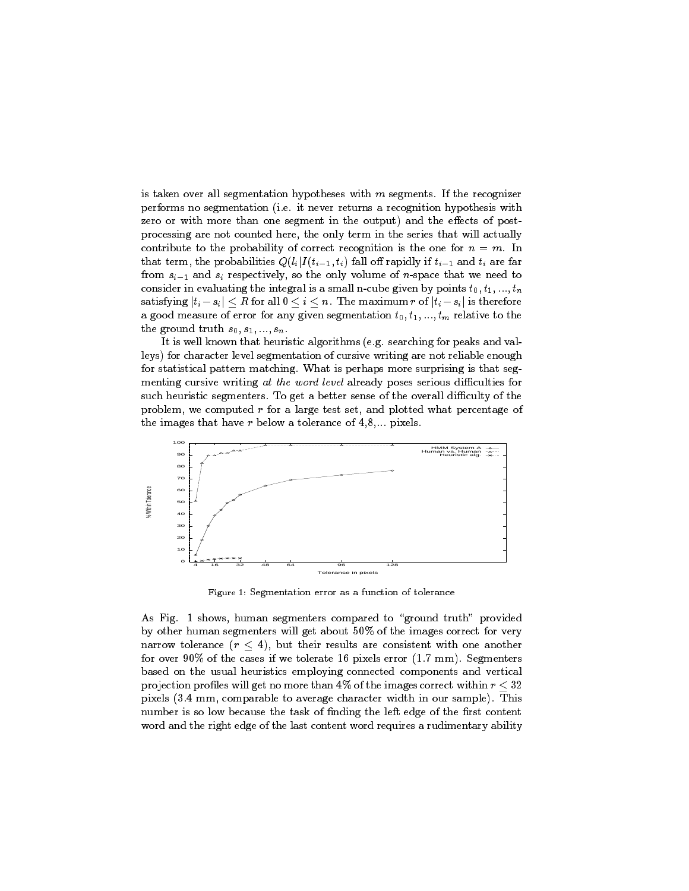is taken over all segmentation hypotheses with  $m$  segments. If the recognizer performs no segmentation (i.e. it never returns a recognition hypothesis with zero or with more than one segment in the output) and the effects of postprocessing are not counted here, the only term in the series that will actually contribute to the probability of correct recognition is the one for  $n = m$ . In that term, the probabilities  $Q(l_i | I(t_{i-1}, t_i)$  fall off rapidly if  $t_{i-1}$  and  $t_i$  are far from  $s_{i-1}$  and  $s_i$  respectively, so the only volume of n-space that we need to consider in evaluating the integral is a small n-cube given by points  $t_0, t_1, ..., t_n$ satisfying  $|t_i - s_i| \leq R$  for all  $0 \leq i \leq n$ . The maximum r of  $|t_i - s_i|$  is therefore a good measure of error for any given segmentation  $t_0, t_1, ..., t_m$  relative to the the ground truth  $s_0, s_1, \ldots, s_n$ .

It is well known that heuristic algorithms (e.g. searching for peaks and valleys) for character level segmentation of cursive writing are not reliable enough for statistical pattern matching. What is perhaps more surprising is that seg menting cursive writing at the word level already poses serious difficulties for such heuristic segmenters. To get a better sense of the overall difficulty of the problem, we computed  $r$  for a large test set, and plotted what percentage of the images that have  $r$  below a tolerance of  $4,8,...$  pixels.



Figure 1: Segmentation error as a function of tolerance

As Fig. 1 shows, human segmenters compared to "ground truth" provided by other human segmenters will get about 50% of the images correct for very narrow tolerance  $(r < 4)$ , but their results are consistent with one another for over 90% of the cases if we tolerate 16 pixels error  $(1.7 \text{ mm})$ . Segmenters based on the usual heuristics employing connected components and vertical projection profiles will get no more than 4% of the images correct within  $r < 32$ pixels (3.4 mm, comparable to average character width in our sample). This number is so low because the task of finding the left edge of the first content word and the right edge of the last content word requires a rudimentary ability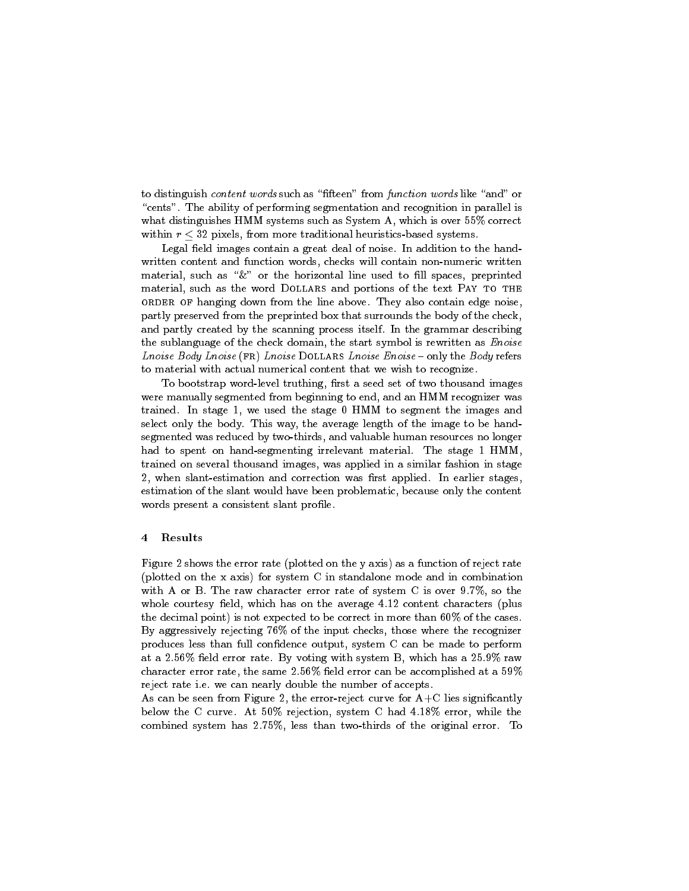to distinguish content words such as "fifteen" from function words like "and" or "cents". The ability of performing segmentation and recognition in parallel is what distinguishes HMM systems such as System A, which is over 55% correct within  $r < 32$  pixels, from more traditional heuristics-based systems.

Legal field images contain a great deal of noise. In addition to the handwritten content and function words, checks will contain non-numeric written material, such as "&" or the horizontal line used to fill spaces, preprinted material, such as the word DOLLARS and portions of the text PAY TO THE order of hanging down from the line above. They also contain edge noise, partly preserved from the preprinted box that surrounds the body of the check, and partly created by the scanning process itself. In the grammar describing the sublanguage of the check domain, the start symbol is rewritten as *Enoise* Lnoise Body Lnoise (FR) Lnoise DOLLARS Lnoise Enoise  $\text{-}$  only the Body refers to material with actual numerical content that we wish to recognize.

To bootstrap word-level truthing, first a seed set of two thousand images were manually segmented from beginning to end, and an HMM recognizer was trained. In stage 1, we used the stage 0 HMM to segment the images and select only the body. This way, the average length of the image to be handsegmented was reduced by two-thirds, and valuable human resources no longer had to spent on hand-segmenting irrelevant material. The stage 1 HMM, trained on several thousand images, was applied in a similar fashion in stage 2, when slant-estimation and correction was first applied. In earlier stages, estimation of the slant would have been problematic, because only the content words present a consistent slant profile.

# 4 Results

Figure 2 shows the error rate (plotted on the y axis) as a function of reject rate (plotted on the x axis) for system C in standalone mode and in combination with A or B. The raw character error rate of system C is over 9.7%, so the whole courtesy field, which has on the average 4.12 content characters (plus the decimal point) is not expected to be correct in more than 60% of the cases. By aggressively rejecting 76% of the input checks, those where the recognizer produces less than full condence output, system C can be made to perform at a 2.56% field error rate. By voting with system B, which has a  $25.9\%$  raw character error rate, the same  $2.56\%$  field error can be accomplished at a  $59\%$ reject rate i.e. we can nearly double the number of accepts.

As can be seen from Figure 2, the error-reject curve for  $A+C$  lies significantly below the C curve. At 50% rejection, system C had 4.18% error, while the combined system has 2.75%, less than two-thirds of the original error. To